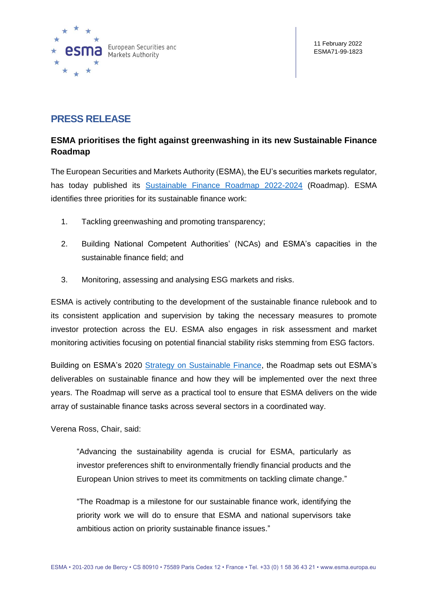

# **PRESS RELEASE**

# **ESMA prioritises the fight against greenwashing in its new Sustainable Finance Roadmap**

The European Securities and Markets Authority (ESMA), the EU's securities markets regulator, has today published its [Sustainable Finance Roadmap 2022-2024](https://www.esma.europa.eu/sites/default/files/library/esma30-379-1051_sustainable_finance_roadmap.pdf) (Roadmap). ESMA identifies three priorities for its sustainable finance work:

- 1. Tackling greenwashing and promoting transparency;
- 2. Building National Competent Authorities' (NCAs) and ESMA's capacities in the sustainable finance field; and
- 3. Monitoring, assessing and analysing ESG markets and risks.

ESMA is actively contributing to the development of the sustainable finance rulebook and to its consistent application and supervision by taking the necessary measures to promote investor protection across the EU. ESMA also engages in risk assessment and market monitoring activities focusing on potential financial stability risks stemming from ESG factors.

Building on ESMA's 2020 [Strategy on Sustainable Finance,](https://www.esma.europa.eu/sites/default/files/library/esma22-105-1052_sustainable_finance_strategy.pdf) the Roadmap sets out ESMA's deliverables on sustainable finance and how they will be implemented over the next three years. The Roadmap will serve as a practical tool to ensure that ESMA delivers on the wide array of sustainable finance tasks across several sectors in a coordinated way.

Verena Ross, Chair, said:

"Advancing the sustainability agenda is crucial for ESMA, particularly as investor preferences shift to environmentally friendly financial products and the European Union strives to meet its commitments on tackling climate change."

"The Roadmap is a milestone for our sustainable finance work, identifying the priority work we will do to ensure that ESMA and national supervisors take ambitious action on priority sustainable finance issues."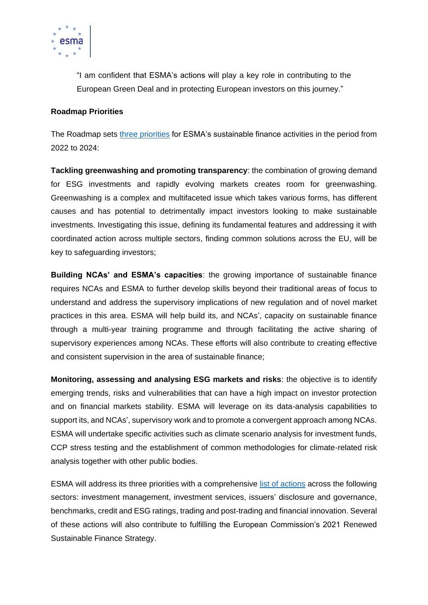

"I am confident that ESMA's actions will play a key role in contributing to the European Green Deal and in protecting European investors on this journey."

## **Roadmap Priorities**

The Roadmap sets [three priorities](https://www.esma.europa.eu/sites/default/files/library/esma71-99-1847_esma_sustainable_finance_roadmap_priorities.pdf) for ESMA's sustainable finance activities in the period from 2022 to 2024:

**Tackling greenwashing and promoting transparency**: the combination of growing demand for ESG investments and rapidly evolving markets creates room for greenwashing. Greenwashing is a complex and multifaceted issue which takes various forms, has different causes and has potential to detrimentally impact investors looking to make sustainable investments. Investigating this issue, defining its fundamental features and addressing it with coordinated action across multiple sectors, finding common solutions across the EU, will be key to safeguarding investors;

**Building NCAs' and ESMA's capacities**: the growing importance of sustainable finance requires NCAs and ESMA to further develop skills beyond their traditional areas of focus to understand and address the supervisory implications of new regulation and of novel market practices in this area. ESMA will help build its, and NCAs', capacity on sustainable finance through a multi-year training programme and through facilitating the active sharing of supervisory experiences among NCAs. These efforts will also contribute to creating effective and consistent supervision in the area of sustainable finance;

**Monitoring, assessing and analysing ESG markets and risks**: the objective is to identify emerging trends, risks and vulnerabilities that can have a high impact on investor protection and on financial markets stability. ESMA will leverage on its data-analysis capabilities to support its, and NCAs', supervisory work and to promote a convergent approach among NCAs. ESMA will undertake specific activities such as climate scenario analysis for investment funds, CCP stress testing and the establishment of common methodologies for climate-related risk analysis together with other public bodies.

ESMA will address its three priorities with a comprehensive list [of actions](https://www.esma.europa.eu/sites/default/files/library/esma71-99-1848_esma_sustainable_finance_roadmap_areas_of_focus.pdf) across the following sectors: investment management, investment services, issuers' disclosure and governance, benchmarks, credit and ESG ratings, trading and post-trading and financial innovation. Several of these actions will also contribute to fulfilling the European Commission's 2021 [Renewed](https://ec.europa.eu/info/publications/210706-sustainable-finance-strategy_en)  [Sustainable Finance Strategy.](https://ec.europa.eu/info/publications/210706-sustainable-finance-strategy_en)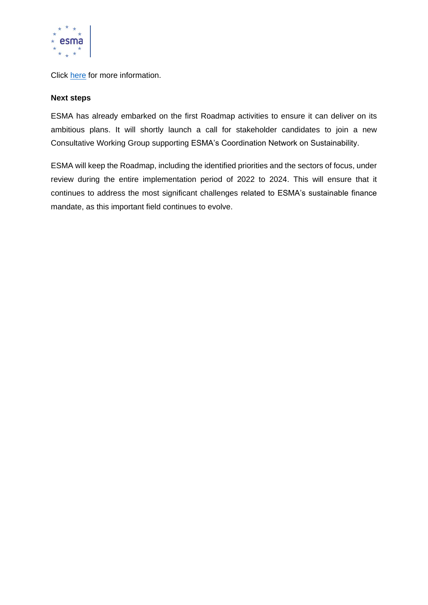

Click [here](https://www.esma.europa.eu/sustainable-finance-roadmap-2022-2024) for more information.

### **Next steps**

ESMA has already embarked on the first Roadmap activities to ensure it can deliver on its ambitious plans. It will shortly launch a call for stakeholder candidates to join a new Consultative Working Group supporting ESMA's Coordination Network on Sustainability.

ESMA will keep the Roadmap, including the identified priorities and the sectors of focus, under review during the entire implementation period of 2022 to 2024. This will ensure that it continues to address the most significant challenges related to ESMA's sustainable finance mandate, as this important field continues to evolve.